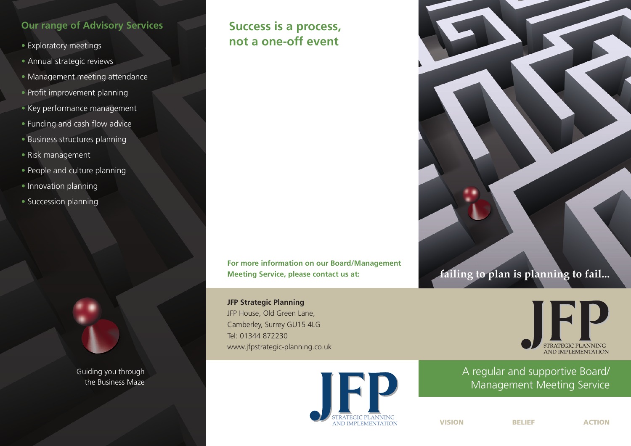### **Our range of Advisory Services**

- Exploratory meetings
- Annual strategic reviews
- Management meeting attendance
- Profit improvement planning
- Key performance management
- Funding and cash flow advice
- Business structures planning
- Risk management
- People and culture planning
- Innovation planning
- Succession planning



Guiding you through the Business Maze

# **Success is a process, not a one-off event**

**For more information on our Board/Management Meeting Service, please contact us at:**

**JFP Strategic Planning** JFP House, Old Green Lane, Camberley, Surrey GU15 4LG Tel: 01344 872230 www.jfpstrategic-planning.co.uk







## A regular and supportive Board/ Management Meeting Service

**VISION BELIEF ACTION**